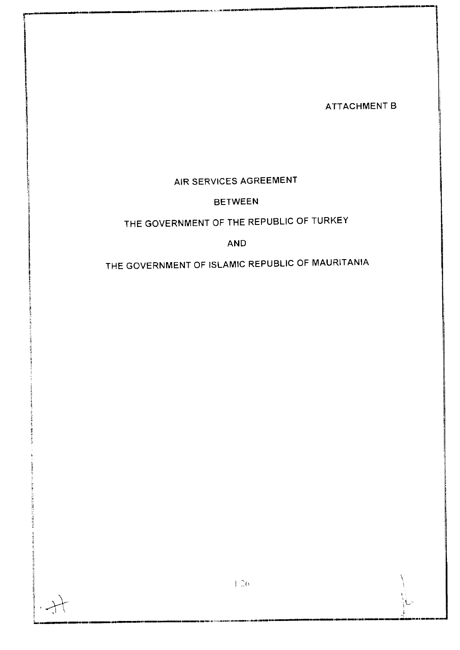**ATTACHMENT B** 

# AIR SERVICES AGREEMENT

# **BETWEEN**

# THE GOVERNMENT OF THE REPUBLIC OF TURKEY

**AND** 

# THE GOVERNMENT OF ISLAMIC REPUBLIC OF MAURITANIA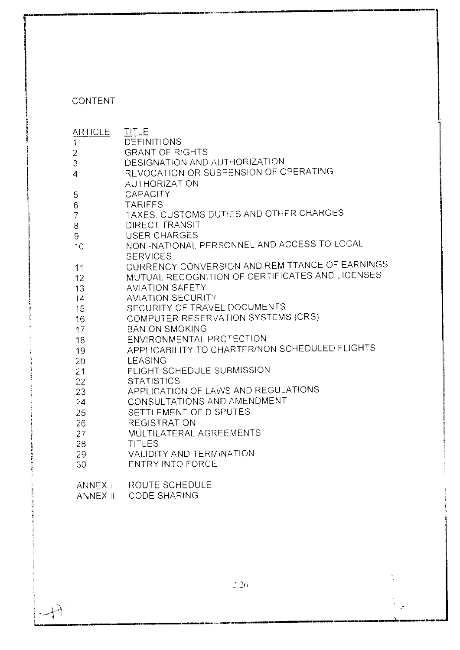# CONTENT

 $\rightarrow$ 

| <b>ARTICLE</b>  | <b>TITLE</b>                                    |
|-----------------|-------------------------------------------------|
| $\mathbf 1$     | <b>DEFINITIONS</b>                              |
| $\overline{2}$  | <b>GRANT OF RIGHTS</b>                          |
| 3               | DESIGNATION AND AUTHORIZATION                   |
| 4               | REVOCATION OR SUSPENSION OF OPERATING           |
|                 | <b>AUTHORIZATION</b>                            |
| 5               | <b>CAPACITY</b>                                 |
| 6               | <b>TARIFFS</b>                                  |
| $\overline{7}$  | TAXES, CUSTOMS DUTIES AND OTHER CHARGES         |
| 8               | DIRECT TRANSIT                                  |
| 9               | <b>USER CHARGES</b>                             |
| 10              | NON -NATIONAL PERSONNEL AND ACCESS TO LOCAL     |
|                 | <b>SERVICES</b>                                 |
| 11              | CURRENCY CONVERSION AND REMITTANCE OF EARNINGS  |
|                 | MUTUAL RECOGNITION OF CERTIFICATES AND LICENSES |
| 12 <sub>2</sub> | <b>AVIATION SAFETY</b>                          |
| 13              | <b>AVIATION SECURITY</b>                        |
| 14              | SECURITY OF TRAVEL DOCUMENTS                    |
| 15              | COMPUTER RESERVATION SYSTEMS (CRS)              |
| 16              |                                                 |
| 17              | <b>BAN ON SMOKING</b>                           |
| 18              | ENVIRONMENTAL PROTECTION                        |
| 19              | APPLICABILITY TO CHARTER/NON SCHEDULED FLIGHTS  |
| 20              | LEASING                                         |
| 21 <sup>°</sup> | FLIGHT SCHEDULE SUBMISSION                      |
| $22 -$          | <b>STATISTICS</b>                               |
| 23              | APPLICATION OF LAWS AND REGULATIONS             |
| $24 -$          | CONSULTATIONS AND AMENDMENT                     |
| 25 <sub>1</sub> | SETTLEMENT OF DISPUTES                          |
| 26              | <b>REGISTRATION</b>                             |
| 27              | MULTILATERAL AGREEMENTS                         |
| 28              | <b>TITLES</b>                                   |
| $29 -$          | <b>VALIDITY AND TERMINATION</b>                 |
| 30              | <b>ENTRY INTO FORCE</b>                         |
| annex i         | ROUTE SCHEDULE                                  |
| ANNEX II        | <b>CODE SHARING</b>                             |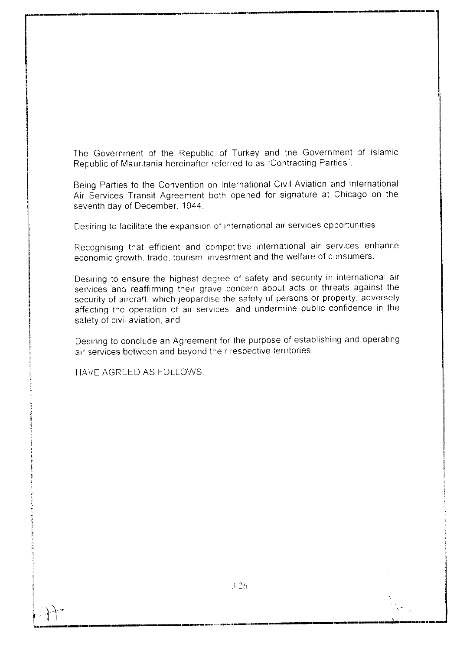The Government of the Republic of Turkey and the Government of Islamic Republic of Mauritania hereinafter referred to as "Contracting Parties".

Being Parties to the Convention on International Civil Aviation and International Air Services Transit Agreement both opened for signature at Chicago on the seventh day of December, 1944.

Desiring to facilitate the expansion of international air services opportunities.

Recognising that efficient and competitive international air services enhance economic growth, trade, tourism, investment and the welfare of consumers.

Desiring to ensure the highest degree of safety and security in international air services and reaffirming their grave concern about acts or threats against the security of aircraft, which jeopardise the safety of persons or property, adversely affecting the operation of air services and undermine public confidence in the safety of civil aviation, and

Desiring to conclude an Agreement for the purpose of establishing and operating air services between and beyond their respective territories.

HAVE AGREED AS FOLLOWS: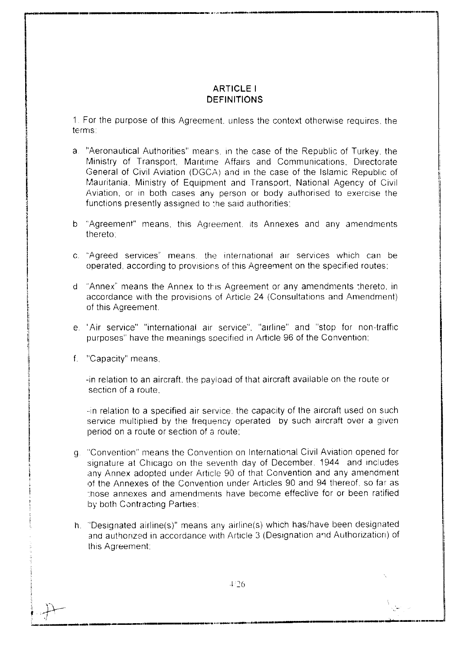# **ARTICLE I DEFINITIONS**

1. For the purpose of this Agreement, unless the context otherwise requires, the terms:

- a. "Aeronautical Authorities" means, in the case of the Republic of Turkey, the Ministry of Transport, Maritime Affairs and Communications, Directorate General of Civil Aviation (DGCA) and in the case of the Islamic Republic of Mauritania, Ministry of Equipment and Transport, National Agency of Civil Aviation, or in both cases any person or body authorised to exercise the functions presently assigned to the said authorities;
- b "Agreement" means, this Agreement, its Annexes and any amendments thereto:
- c. "Agreed services" means, the international air services which can be operated, according to provisions of this Agreement on the specified routes;
- d "Annex" means the Annex to this Agreement or any amendments thereto, in accordance with the provisions of Article 24 (Consultations and Amendment) of this Agreement.
- e. 'Air service" "international air service", "airline" and "stop for non-traffic purposes" have the meanings specified in Article 96 of the Convention;
- f. "Capacity" means,

-in relation to an aircraft, the payload of that aircraft available on the route or section of a route.

-in relation to a specified air service, the capacity of the aircraft used on such service multiplied by the frequency operated by such aircraft over a given period on a route or section of a route:

- g. "Convention" means the Convention on International Civil Aviation opened for signature at Chicago on the seventh day of December, 1944 and includes any Annex adopted under Article 90 of that Convention and any amendment of the Annexes of the Convention under Articles 90 and 94 thereof, so far as those annexes and amendments have become effective for or been ratified by both Contracting Parties;
- h. "Designated airline(s)" means any airline(s) which has/have been designated and authorized in accordance with Article 3 (Designation and Authorization) of this Agreement;

 $4/26$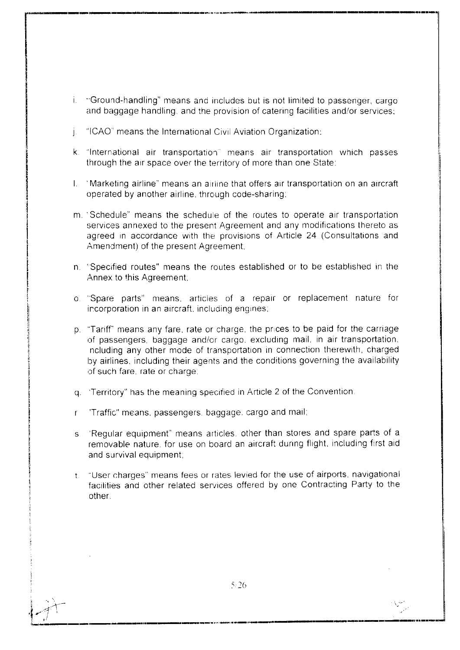- i. "Ground-handling" means and includes but is not limited to passenger, cargo and baggage handling. and the provision of catering facilities and./or services:
- j. "ICAO" means the International Civil Aviation Organization;
- k 'Interrational air transportatior' means air transportation which passes through the air space over the territory of more than one State:
- l.  $\,$  'Marketing airline" means an airline that offers air transportation on an aircraft operated by another airline, through code-sharing.
- m. 'Schedule" means the schedule of the routes to operate air transportation services annexed to the present Agreement and any modifications thereto as agreed in accordance with the provisions of Article 24 (Consultations and Amendment) of the present Agreement;
- n. "Specified routes" means the routes established or to be established in the Annex to this Agreement;
- o. "Spare parts" means, articles of a repair or replacement nature for incorporation in an aircraft, including engines;
- Tariff" means any fare, rate or charge, the prices to be paid for the carriage of passengers, baggage and/or cargo. excluding mail, in air transportation. ncluding any other mode of transportation in connection therewith, charged by airlines, including their agents and the conditions governing the availability of such fare, rate or charge.
- q. Herritory" has the meaning specified in Article 2 of the Convention:
- 'Traffic" means, passengers, baggage, cargo and mail;  $\mathbf{r}$
- s. 'Regular equipment" means articles. other than stores and spare parts of a removable nature, for use on board an aircraft during flight, including first aid and survival equipment;
- 'User charges" means fees or rates levied for the use of airports, navigational facilities and other related seruices offered by one Contracting Party to the other.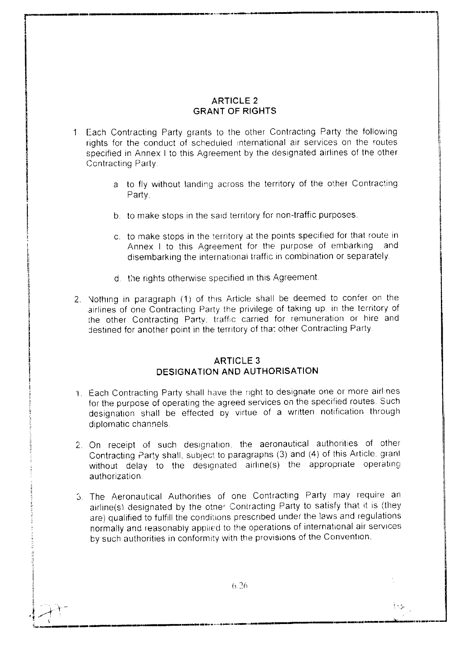# **ARTICLE 2 GRANT OF RIGHTS**

- 1 Each Contracting Party grants to the other Contracting Party the following rights for the conduct of scheduled international air services on the routes specified in Annex I to this Agreement by the designated airlines of the other Contracting Party:
	- a to fly without landing across the territory of the other Contracting Party.
	- b. to make stops in the said territory for non-traffic purposes.
	- c. to make stops in the territory at the points specified for that route in Annex I to this Agreement for the purpose of embarking disembarking the international traffic in combination or separately.
	- d. the rights otherwise specified in this Agreement.
- 2. Nothing in paragraph (1) of this Article shall be deemed to confer on the airlines of one Contracting Party the privilege of taking up. in the territory of the other Contracting Party, traffic carried for remuneration or hire and destined for another point in the territory of that other Contracting Party.

# **ARTICLE 3** DESIGNATION AND AUTHORISATION

- 1. Each Contracting Party shall have the right to designate one or more airlines for the purpose of operating the agreed services on the specified routes. Such designation shall be effected by virtue of a written notification through diplomatic channels.
- 2. On receipt of such designation, the aeronautical authorities of other Contracting Party shall, subject to paragraphs (3) and (4) of this Article, grant without delay to the designated airline(s) the appropriate operating authorization.
- 5. The Aeronautical Authorities of one Contracting Party may require an airline(s) designated by the other Contracting Party to satisfy that it is (they are) qualified to fulfill the conditions prescribed under the laws and regulations normally and reasonably applied to the operations of international air services by such authorities in conformity with the provisions of the Convention.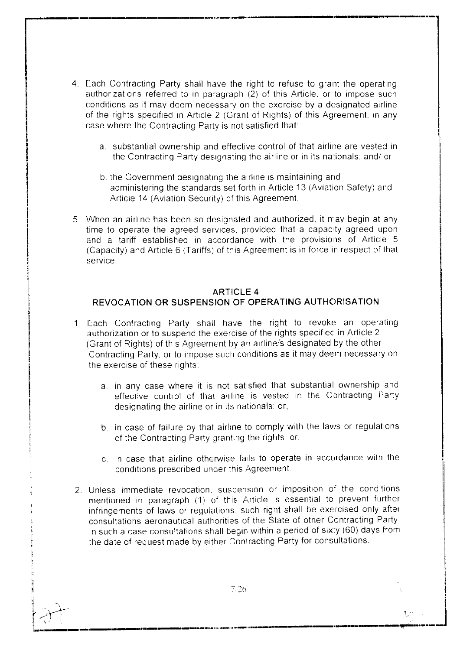- 4. Each Contracting Party shall have the right to refuse to grant the operating authorizations referred to in paragraph (2) of this Article, or to impose such conditions as it may deem necessary on the exercise by a designated airline of the rights specified in Article 2 (Grant of Rights) of this Agreement, in any case where the Contracting Party is not satisfied that:
	- a. substantial ownership and effective control of that airline are vested in the Contracting Party designating the airline or in its nationals; and/ or
	- b. the Government designating the airline is maintaining and administering the standards set forth in Article 13 (Aviation Safety) and Article 14 (Aviation Security) of this Agreement.
- 5. When an airline has been so designated and authorized, it may begin at any time to operate the agreed services, provided that a capacity agreed upon and a tariff established in accordance with the provisions of Article 5 (Capacity) and Article 6 (Tariffs) of this Agreement is in force in respect of that service.

# **ARTICLE 4** REVOCATION OR SUSPENSION OF OPERATING AUTHORISATION

- 1. Each Contracting Party shall have the right to revoke an operating authorization or to suspend the exercise of the rights specified in Article 2 (Grant of Rights) of this Agreement by an airline/s designated by the other Contracting Party, or to impose such conditions as it may deem necessary on the exercise of these rights:
	- a. in any case where it is not satisfied that substantial ownership and effective control of that airline is vested in the Contracting Party designating the airline or in its nationals: or,
	- b. in case of failure by that airline to comply with the laws or regulations of the Contracting Party granting the rights; or,
	- c. in case that airline otherwise fails to operate in accordance with the conditions prescribed under this Agreement.
- 2. Unless immediate revocation, suspension or imposition of the conditions mentioned in paragraph (1) of this Article is essential to prevent further infringements of laws or regulations, such right shall be exercised only after consultations aeronautical authorities of the State of other Contracting Party. In such a case consultations shall begin within a period of sixty (60) days from the date of request made by either Contracting Party for consultations.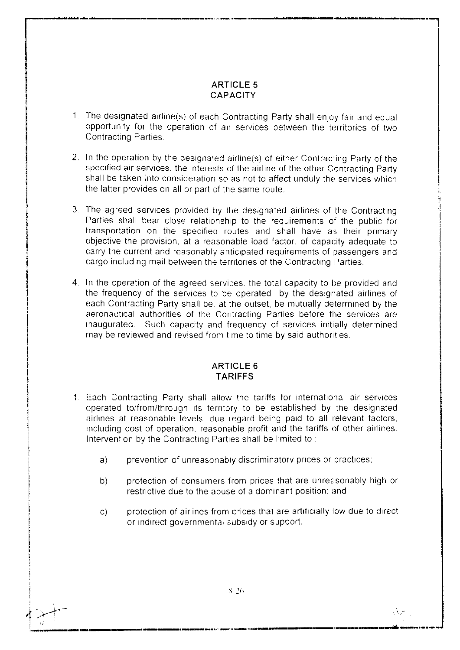# ARTICLE 5 **CAPACITY**

- 1. The designated airline(s) of each Contracting Party shall enjoy fair and equal opportunity for the operation of air services between the territories of two Contracting Parties.
- 2. In the operation by the designated airline(s) of either Contracting Party of the specified air services, the interests of the airline of the other Contracting Party shall be taken into consideration so as not to affect unduly the services which the latter provides on all or part of the same route.
- 3. The agreed services provided by the designated airlines of the Contracting Parties shall bear close relationship to the requirements of the public for transportation on the specified routes and shall have as their primary objective the provision, at a reasonable load factor, of capacity adequate to carry the current and reasonably anticipated requirements of passengers and cargo including mail between the territories of the Contracting Parties.
- 4. In the operation of the agreed services, the total capacity to be provided and the frequency of the services to be operated by the designated airlines of each Contracting Party shall be, at the outset, be mutually determined by the aeronautical authorities of the Contracting Parties before the services are Inaugurated. Such capacity and frequency of services initially determined rnay be reviewed and revised from time to time by said authorities.

#### ARTICLE 6 TARIFFS

- 1. Each Contracting Party shall allow the tariffs for international air services operated to/from/through its territory to be established by the designated airlines at reasonable levels due regard being paid to all relevant factors, including cost of operation, reasonable profit and the tariffs of other airlines. Intervention by the Contracting Parties shall be limited to :
	- $a)$ prevention of unreasonably discriminatory prices or practices;
	- protection of consumers from prices that are unreasonably high or restrictive due to the abuse of a dominant position; and b)
	- protection of airlines from prices that are artificially low due to direct  $C$ ) or indirect governmental subsrdy or support.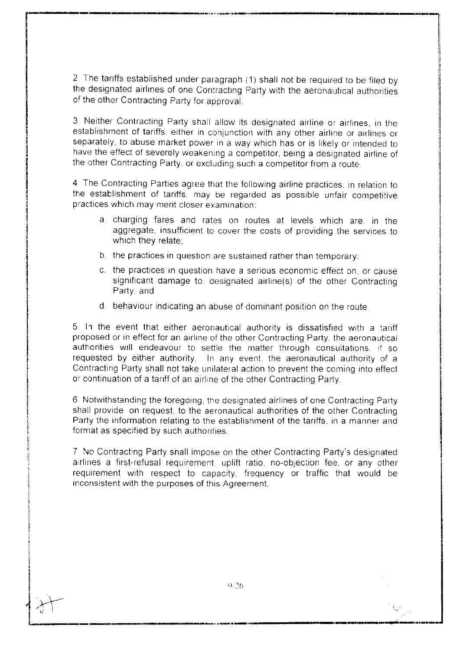2 The tarjffs established under paragraph (1) shall not be required to be fited by the designated airlines of one Contracting Party with the aeronautical authorities of the other Contracting Party for approval.

3. Neither Contracting Party shall allow its designated airline or airlines, in the establishment of tariffs, either in conjunction with any other airline or airlines or separately, to abuse market power in a way which has or is likely or intended to have the effect of severely weakening a competitor, being a designated airline of the other Contracting Party, or excluding such a competitor from a route.

4 The Contracting Parties agree that the following airline practices, in relation to the establishment of tariffs, may be regarded as possible unfair competitive practices which may merit closer examination:

- a. charging fares and rates on routes at levels which are in the aggregate, insufficient to cover the costs of providing the services to which they relate:
- b. the practices in question are sustained rather than temporary:
- c. the practices in question have a serious economic effect on, or cause significant damage to. designated airline(s) of the other Contracting Party, and
- d. behaviour indicating an abuse of dominant position on the route

 $5<sup>h</sup>$  ln the event that either aeronautical authority is dissatisfied with a tariff proposed or in effect for an airline of the other Contracting Party, the aeronautical authorities will endeavour to settle the matter through consultations, if so requested by either authority. In any event, the aeronautical authority of a Contracting Party shall not take unilateral action to prevent the coming into effect or continuation of a tariff of an airline of the other Contracting Party.

6. Notwithstanding the foregoing, the designated airlines of one Contracting Party shall provide on request, to the aeronautical authorities of the other Contracting Party the information relating to the establishment of the tariffs, in a manner and format as specified by such authorities.

7 No Contracting Party snall impose on the other Contracting Party's designated airlines a first-refusal requirement, uplift ratio, no-objection fee, or any other requirement with respect to capacity, frequency or traffic that would be inconsistent with the purposes of this Agreement.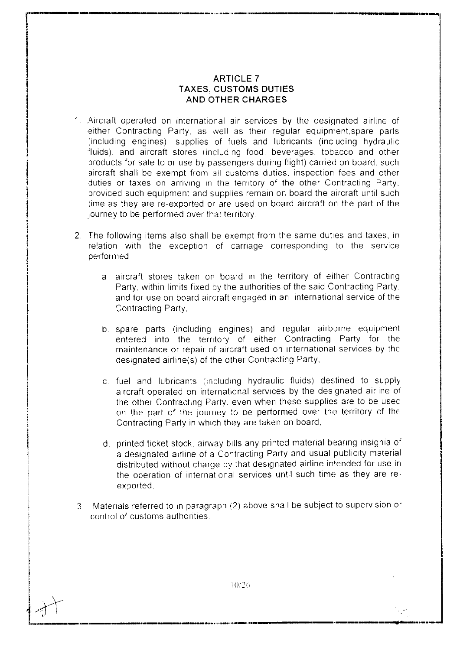# **ARTICLE 7 TAXES, CUSTOMS DUTIES** AND OTHER CHARGES

- 1. Aircraft operated on international air services by the designated airline of either Contracting Party, as well as their regular equipment, spare parts (including engines), supplies of fuels and lubricants (including hydraulic fluids), and aircraft stores (including food, beverages, tobacco and other products for sale to or use by passengers during flight) carried on board, such aircraft shall be exempt from all customs duties, inspection fees and other duties or taxes on arriving in the territory of the other Contracting Party, proviced such equipment and supplies remain on board the aircraft until such time as they are re-exported or are used on board aircraft on the part of the journey to be performed over that territory.
- 2. The following items also shall be exempt from the same duties and taxes, in relation with the exception of carriage corresponding to the service performed:
	- a aircraft stores taken on board in the territory of either Contracting Party, within limits fixed by the authorities of the said Contracting Party. and for use on board aircraft engaged in an international service of the Contracting Party,
	- b. spare parts (including engines) and regular airborne equipment entered into the territory of either Contracting Party for the maintenance or repair of aircraft used on international services by the designated airline(s) of the other Contracting Party,
	- c. fuel and lubricants (including hydraulic fluids) destined to supply aircraft operated on international services by the designated airline of the other Contracting Party, even when these supplies are to be used on the part of the journey to be performed over the territory of the Contracting Party in which they are taken on board,
	- d. printed ticket stock, airway bills any printed material bearing insignia of a designated airline of a Contracting Party and usual publicity material distributed without charge by that designated airline intended for use in the operation of international services until such time as they are reexported.
- 3. Materials referred to in paragraph (2) above shall be subject to supervision or control of customs authorities.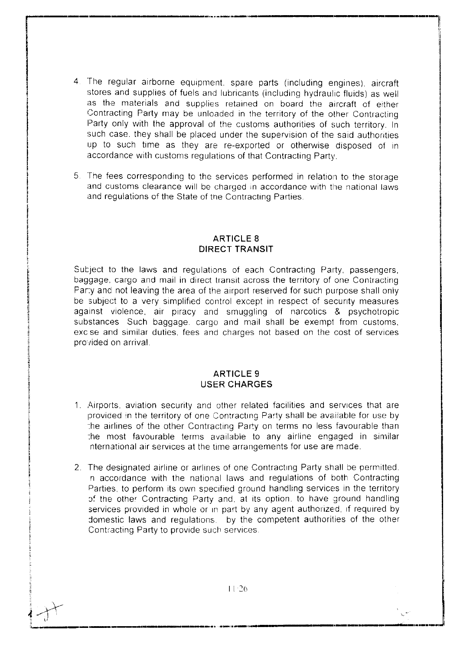- 4. The regular airborne equipment, spare parts (including engines), aircraft stores and supplies of fuels and lubricants (including hydraulic fluids) as well as the materials and supplies retained on board the aircraft of either Contracting Party may be unloaded in the territory of the other Contracting Party only with the approval of the customs authorities of such territory. In such case, they shall be placed under the supervision of the said authorities up to such time as they are re-exported or otherwise disposed of in accordance with customs regulations of that Contracting Party.
- 5. The fees corresponding to the services performed in relation to the storage and customs clearance will be charged in accordance with the national laws and regulations of the State of the Contracting Parties.

#### ARTICLE 8 DIRECT TRANSIT

Subject to the laws and regulations of each Contracting Party, passengers, baggage, cargo and mail in direct transit across the territory of one Coniracting Party and not leaving the area of the airport reserved for such purpose shall only be subject to a very simplified control except in respect of security measures against violence, air piracy and smuggling of narcotics & psychotropic substances. Such baggage, cargo and mail shall be exempt from customs, excse and similar duties. fees and charqes not based on the cost of services pro vided on arrival.

#### ARTICLE 9 USER CHARGES

- 1. Airports, aviation security and other related facilities and services that are provided in the territory of one Contracting Party shall be available for use by the airlines of the other Contracting Party on terms no less favourable than :he most favourable terms available to any airline engaged in similar nternational air services at the time arrangements for use are made.
- 2. The designated airline or airlines of one Contracting Party shall be permitted. n accordance with the national laws and regulations of both- Contracting Parties, to perform its own specified ground handling services in the territory of the other Contracting Party and, at its option. to have ground handling services provided in whole or in part by any agent authorized, if required by domestic laws and regulations. by the competent authorities of the other Contracting Party to provide such services.

 $11.26$ 

i  $\sim$  $\overline{\phantom{a}}$  $\lambda$   $$ ila metu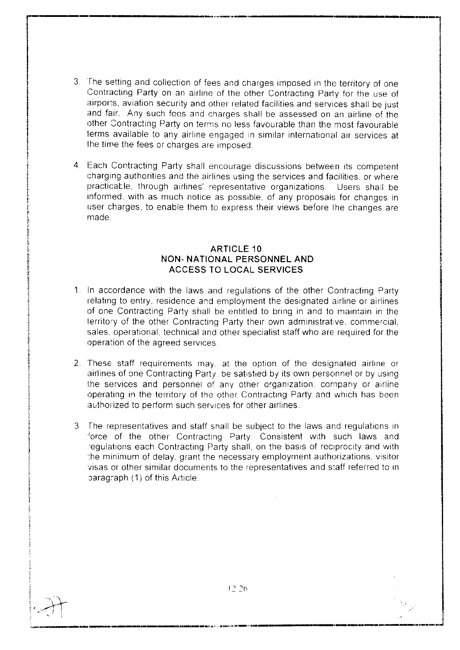- 3. The setting and collection of fees and charges imposed in the territory of one Contracting Party on an airline of the other Contracting Party for the use of airports, aviation security and other related facilities and services shall be just and fair. Any such fees and charges shall be assessed on an airline of the other Contracting Party on terms no less favourable than the most favourable terms available to any airline engaged in similar international air services at the time the fees or charges are imposed.
- 4. Each Contracting Party shall encourage discussions between its competent charging authorities and the airlines using the services and facilities, or where practicable, through airlines' representative organizations. Users shall be informed, with as much notice as possible, of any proposals for changes in user charges, to enable them to express their views before the changes are made

# **ARTICLE 10 NON- NATIONAL PERSONNEL AND ACCESS TO LOCAL SERVICES**

- 1. In accordance with the laws and regulations of the other Contracting Party relating to entry, residence and employment the designated airline or airlines of one Contracting Party shall be entitled to bring in and to maintain in the territory of the other Contracting Party their own administrative, commercial, sales, operational, technical and other specialist staff who are required for the operation of the agreed services.
- 2. These staff requirements may, at the option of the designated airline or airlines of one Contracting Party, be satisfied by its own personnel or by using the services and personnet of any other organization, company or airline operating in the territory of the other Contracting Party and which has been authorized to perform such services for other airlines.
- 3. The representatives and staff shall be subject to the laws and regulations in force of the other Contracting Party. Consistent with such laws and regulations each Contracting Party shall, on the basis of reciprocity and with the minimum of delay, grant the necessary employment authorizations, visitor visas or other similar documents to the representatives and staff referred to in paragraph (1) of this Article.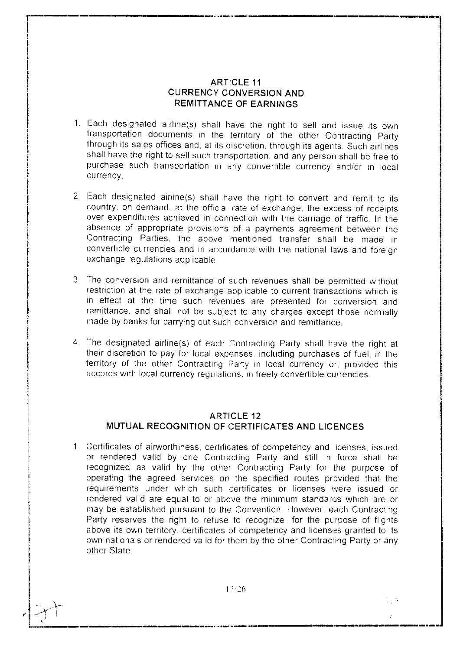# **ARTICLE 11 CURRENCY CONVERSION AND REMITTANCE OF EARNINGS**

- 1. Each designated airline(s) shall have the right to sell and issue its own transportation documents in the territory of the other Contracting Party through its sales offices and, at its discretion, through its agents. Such airlines shall have the right to sell such transportation, and any person shall be free to purchase such transportation in any convertible currency and/or in local currency.
- 2. Each designated airline(s) shall have the right to convert and remit to its country, on demand, at the official rate of exchange, the excess of receipts over expenditures achieved in connection with the carriage of traffic. In the absence of appropriate provisions of a payments agreement between the Contracting Parties, the above mentioned transfer shall be made in convertible currencies and in accordance with the national laws and foreign exchange regulations applicable.
- 3. The conversion and remittance of such revenues shall be permitted without restriction at the rate of exchange applicable to current transactions which is in effect at the time such revenues are presented for conversion and remittance, and shall not be subject to any charges except those normally made by banks for carrying out such conversion and remittance.
- 4. The designated airline(s) of each Contracting Party shall have the right at their discretion to pay for local expenses, including purchases of fuel, in the territory of the other Contracting Party in local currency or, provided this accords with local currency regulations, in freely convertible currencies.

# **ARTICLE 12** MUTUAL RECOGNITION OF CERTIFICATES AND LICENCES

1. Certificates of airworthiness, certificates of competency and licenses, issued or rendered valid by one Contracting Party and still in force shall be recognized as valid by the other Contracting Party for the purpose of operating the agreed services on the specified routes provided that the requirements under which such certificates or licenses were issued or rendered valid are equal to or above the minimum standards which are or may be established pursuant to the Convention. However, each Contracting Party reserves the right to refuse to recognize, for the purpose of flights above its own territory, certificates of competency and licenses granted to its own nationals or rendered valid for them by the other Contracting Party or any other State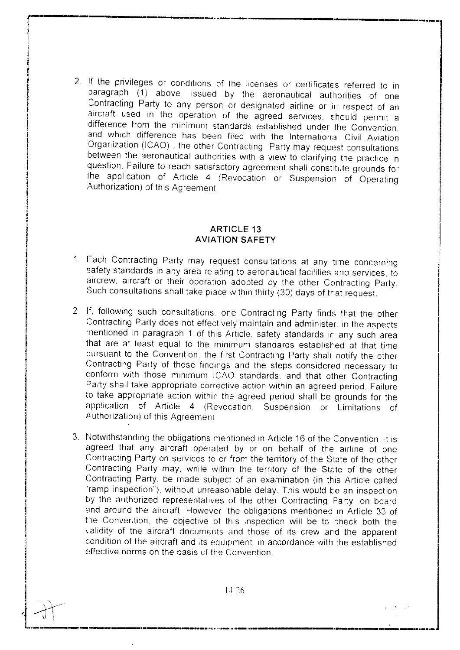2. If the privileges or conditions of the licenses or certificates referred to in paragraph (1) above, issued by the aeronautical authorities of one Contracting Party to any person or designated airline or in respect of an aircraft used in the operation of the agreed services, should permit a difference from the minimum standards established under the Convention. and which difference has been filed with the International Civil Aviation Organization (ICAO), the other Contracting Party may request consultations between the aeronautical authorities with a view to clarifying the practice in question. Failure to reach satisfactory agreement shall constitute grounds for the application of Article 4 (Revocation or Suspension of Operating Authorization) of this Agreement.

# **ARTICLE 13 AVIATION SAFETY**

- 1. Each Contracting Party may request consultations at any time concerning safety standards in any area relating to aeronautical facilities and services, to aircrew, aircraft or their operation adopted by the other Contracting Party. Such consultations shall take piace within thirty (30) days of that request.
- 2. If, following such consultations, one Contracting Party finds that the other Contracting Party does not effectively maintain and administer, in the aspects mentioned in paragraph 1 of this Article, safety standards in any such area that are at least equal to the minimum standards established at that time pursuant to the Convention, the first Contracting Party shall notify the other Contracting Party of those findings and the steps considered necessary to conform with those minimum ICAO standards, and that other Contracting Party shall take appropriate corrective action within an agreed period. Failure to take appropriate action within the agreed period shall be grounds for the application of Article 4 (Revocation, Suspension or Limitations of Authorization) of this Agreement
- 3. Notwithstanding the obligations mentioned in Article 16 of the Convention, it is agreed that any aircraft operated by or on behalf of the airline of one Contracting Party on services to or from the territory of the State of the other Contracting Party may, while within the territory of the State of the other Contracting Party, be made subject of an examination (in this Article called "ramp inspection"), without unreasonable delay. This would be an inspection by the authorized representatives of the other Contracting Party on board and around the aircraft. However the obligations mentioned in Article 33 of the Convention, the objective of this inspection will be to check both the validity of the aircraft documents and those of its crew and the apparent condition of the aircraft and its equipment, in accordance with the established effective norms on the basis of the Convention.

 $14.26$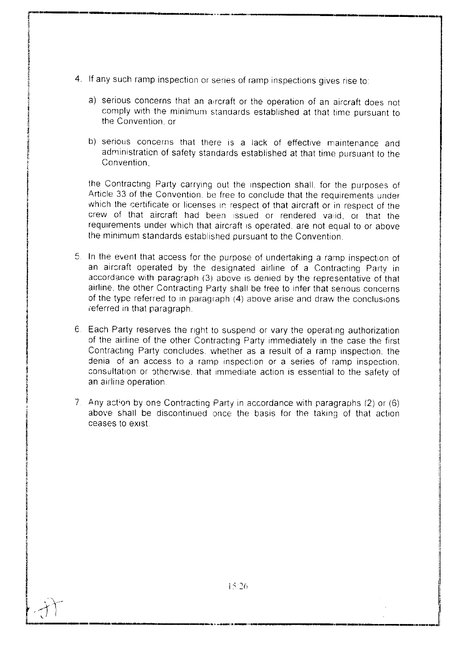- 4. If any such ramp inspection or series of ramp inspections gives rise to:
	- a) serious concerns that an agroraft or the operation of an aircraft does not comply with the minimum standards established at that time pursuant to the Convention. or
	- b) serious concerns that there is a lack of effective maintenance and administration of safety standards established at that time pursuant to the Convention.

the Contracting Party carrying out the Inspection shall, for the purposes of Article 33 of the Convention, be free to conclude that the requirements under which the certificate or licenses in respect of that aircraft or in respect of the crew of that aircraft had been issued or rendered valid, or that the requlrements under which that aircraft rs operated. are not equal to or above the minimum standards established pursuant to the Convention.

- 5. In the event that access for the purpose of undertaking a ramp inspection of an aircraft operated by the designated airline of a Contracting partv in accordance with paragraph (3) above is denied by the representative of that airline, the other Contracting Party shall be free to infer that serious concerns cf the type referred to in paragraph (4) above arise and draw the conclusrons referred in that paragraph.
- 6. Each Party reserves the right to suspend or vary the operating authorization of the airline of the other Contracting Party immediately in the case the first Contracting Party concludes, whether as a result of a ramp inspection, the denia of an access to a ramp inspection or a series of ramp inspection, consultation or otherwise, that immediate action is essential to the safety of an airline operation.
- Any aotion by one Contracting Party in accordance with paragraphs (2) or (6) above shall be discontinued once the basis for the taking of that action ceases to exist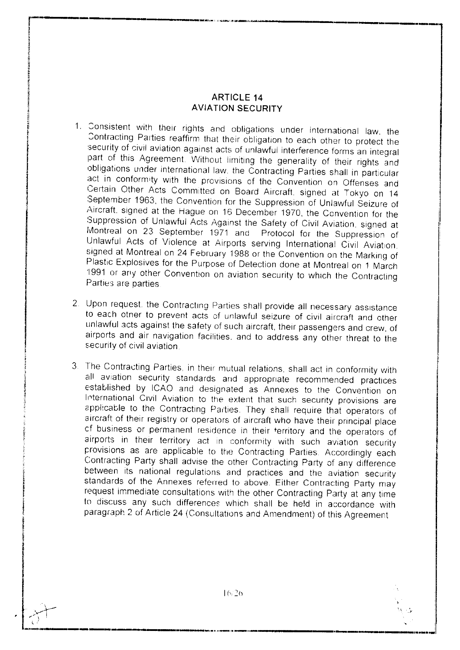# **ARTICLE 14 AVIATION SECURITY**

- 1. Consistent with their rights and obligations under international law, the Contracting Parties reaffirm that their obligation to each other to protect the security of civil aviation against acts of unlawful interference forms an integral part of this Agreement. Without limiting the generality of their rights and obligations under international law, the Contracting Parties shall in particular act in conformity with the provisions of the Convention on Offenses and Certain Other Acts Committed on Board Aircraft, signed at Tokyo on 14 September 1963, the Convention for the Suppression of Unlawful Seizure of Aircraft. signed at the Hague on 16 December 1970, the Convention for the Suppression of Unlawful Acts Against the Safety of Civil Aviation, signed at Montreal on 23 September 1971 and Protocol for the Suppression of Unlawful Acts of Violence at Airports serving International Civil Aviation, signed at Montreal on 24 February 1988 or the Convention on the Marking of Plastic Explosives for the Purpose of Detection done at Montreal on 1 March 1991 or any other Convention on aviation security to which the Contracting Parties are parties
- 2. Upon request, the Contracting Parties shall provide all necessary assistance to each otner to prevent acts of unlawful seizure of civil aircraft and other unlawful acts against the safety of such aircraft, their passengers and crew, of airports and air navigation facilities, and to address any other threat to the security of civil aviation.
- 3. The Contracting Parties, in their mutual relations, shall act in conformity with all aviation security standards and appropriate recommended practices established by ICAO and designated as Annexes to the Convention on International Civil Aviation to the extent that such security provisions are applicable to the Contracting Parties. They shall require that operators of aircraft of their registry or operators of aircraft who have their principal place cf business or permanent residence in their territory and the operators of airports in their territory act in conformity with such aviation security provisions as are applicable to the Contracting Parties. Accordingly each Contracting Party shall advise the other Contracting Party of any difference between its national regulations and practices and the aviation security standards of the Annexes referred to above. Either Contracting Party may request immediate consultations with the other Contracting Party at any time to discuss any such differences which shall be held in accordance with paragraph 2 of Article 24 (Consultations and Amendment) of this Agreement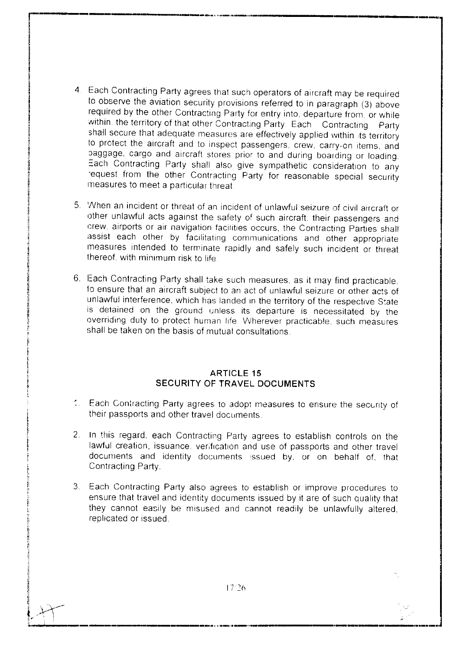- 4. Each Contracting Party agrees that such operators of aircraft may be required to observe the aviation security provisions referred to in paragraph (3) above required by the other Contracting Party for entry into, departure from, or while within the territory of that other Contracting Party. Each Contracting Party shall secure that adequate measures are effectively applied within its territory to protect the aircraft and to inspect passengers, crew, carry-on items, and baggage. cargo and aircraft stores prior to and during boarding or loading.<br>Each Contracting Party shall also give sympathetic consideration to any request from the other Contracting Party for reasonable special security measures to meet a particular threat.
- 5. When an incident or threat of an incident of unlawful seizure of civil aircraft or other unlawful acts against the safety of such aircraft. their passengers and crew, airports or air navigation facilities occurs, the Contracting Parties shall assist each other by facilitating communications and other appropriate measures intended to terminate rapidly and safely such incident or threat thereof, with minimum risk to life.
- 6. Each Contracting Party shall take such measures, as it may find practicable.  $\blacksquare$ 10 ensure that an aircraft subject to an act of unlawful seizure or other acts of unlawful interference, which has landed in the territory of the respective State is detained on the ground unless its departure is necessitated by the overriding duty to protect human life. Wherever practicable, such measures shall be taken on the basis of mutual consultations.

#### ARTICLE 15 SECURITY OF TRAVEL DOCUMENTS

- 1. Each Contracting Party agrees to adopt measures to ensure the security of their passports and other travel documents.
- 2. In this regard, each Contracting Party agrees to establish controls on the lawful creation, issuance, verification and use of passports and other travel documents and identity documents issued by, or on behalf of, that Contracting Party.
- 3. Each Contracting Party also agrees to establish or improve procedures to ensure that travel and identity documents issued by it are of such quality that they cannot easily be misused and cannot readily be unlawfully altered, replrcated or issued.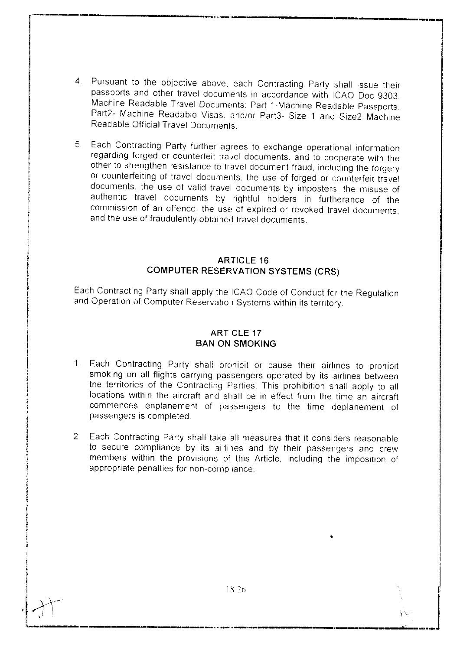- 4. Pursuant to the objective above, each Contracting Party shall issue their passports and other travel documents in accordance with ICAO Doc 9303, Machine Readable Travel Documents: Part 1-Machine Readable Passports. Part2- Machine Readable Visas. and/or Part3- Size 1 and Size2 Machine Readable Official Travel Documents.
- 5. Each Contracting Party further agrees to exchange operational information regarding forged or counterfeit travel documents, and to cooperate with the other to strengthen resistance to travel document fraud, including the forgery or counterfeiting of travel documents, the use of forged or counterfeit travel documents, the use of valid travel documents by imposters, the misuse of authentic travel documents by rightful holders in furtherance of the commission of an offence, the use of expired or revoked travel documents, and the use of fraudulently obtained travel documents.

# **ARTICLE 16 COMPUTER RESERVATION SYSTEMS (CRS)**

Each Contracting Party shall apply the ICAO Code of Conduct for the Regulation and Operation of Computer Reservation Systems within its territory.

# **ARTICLE 17 BAN ON SMOKING**

- 1. Each Contracting Party shall prohibit or cause their airlines to prohibit smoking on all flights carrying passengers operated by its airlines between the territories of the Contracting Parties. This prohibition shall apply to all locations within the aircraft and shall be in effect from the time an aircraft commences enplanement of passengers to the time deplanement of passengers is completed.
- 2. Each Contracting Party shall take all measures that it considers reasonable to secure compliance by its airlines and by their passengers and crew members within the provisions of this Article, including the imposition of appropriate penalties for non-compliance.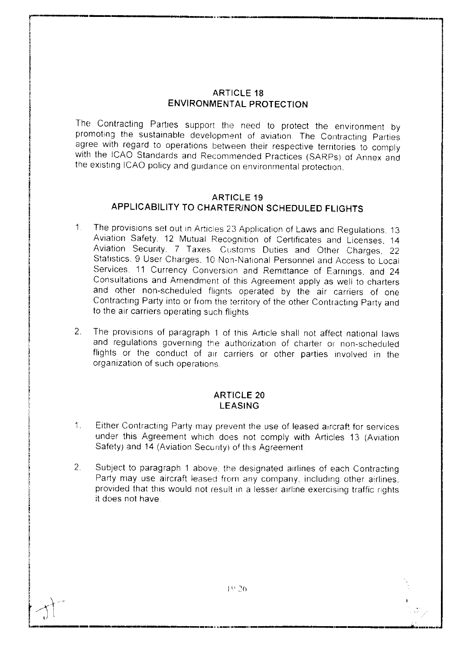# **ARTICLE 18 ENVIRONMENTAL PROTECTION**

The Contracting Parties support the need to protect the environment by promoting the sustainable development of aviation. The Contracting Parties agree with regard to operations between their respective territories to comply with the ICAO Standards and Recommended Practices (SARPs) of Annex and the existing ICAO policy and guidance on environmental protection.

#### **ARTICLE 19** APPLICABILITY TO CHARTER/NON SCHEDULED FLIGHTS

- $1<sub>1</sub>$ The provisions set out in Articles 23 Application of Laws and Regulations, 13 Aviation Safety. 12 Mutual Recognition of Certificates and Licenses, 14 Aviation Security, 7 Taxes. Customs Duties and Other Charges, 22 Statistics, 9 User Charges, 10 Non-National Personnel and Access to Local Services. 11 Currency Conversion and Remittance of Earnings, and 24 Consultations and Amendment of this Agreement apply as well to charters and other non-scheduled flignts operated by the air carriers of one Contracting Party into or from the territory of the other Contracting Party and to the air carriers operating such flights.
- The provisions of paragraph 1 of this Article shall not affect national laws  $2<sub>1</sub>$ and regulations governing the authorization of charter or non-scheduled flights or the conduct of air carriers or other parties involved in the organization of such operations.

# **ARTICLE 20 LEASING**

- Either Contracting Party may prevent the use of leased aircraft for services  $\mathbf{1}$ . under this Agreement which does not comply with Articles 13 (Aviation Safety) and 14 (Aviation Security) of this Agreement.
- $2<sub>1</sub>$ Subject to paragraph 1 above, the designated airlines of each Contracting Party may use aircraft leased from any company, including other airlines. provided that this would not result in a lesser airline exercising traffic rights it does not have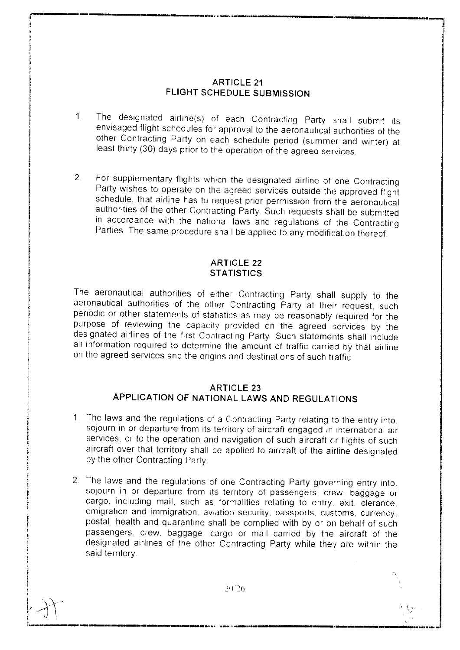# **ARTICLE 21** FLIGHT SCHEDULE SUBMISSION

- $\mathbf{1}$ The designated airline(s) of each Contracting Party shall submit its envisaged flight schedules for approval to the aeronautical authorities of the other Contracting Party on each schedule period (summer and winter) at least thirty (30) days prior to the operation of the agreed services.
- $2<sup>1</sup>$ For supplementary flights which the designated airline of one Contracting Party wishes to operate on the agreed services outside the approved flight schedule, that airline has to request prior permission from the aeronautical authorities of the other Contracting Party. Such requests shall be submitted in accordance with the national laws and regulations of the Contracting Parties. The same procedure shall be applied to any modification thereof.

#### **ARTICLE 22 STATISTICS**

The aeronautical authorities of either Contracting Party shall supply to the aeronautical authorities of the other Contracting Party at their request, such periodic or other statements of statistics as may be reasonably required for the purpose of reviewing the capacity provided on the agreed services by the des gnated airlines of the first Contracting Party. Such statements shall include all information required to determine the amount of traffic carried by that airline on the agreed services and the origins and destinations of such traffic

# **ARTICLE 23** APPLICATION OF NATIONAL LAWS AND REGULATIONS

- 1. The laws and the regulations of a Contracting Party relating to the entry into. sojourn in or departure from its territory of aircraft engaged in international air services, or to the operation and navigation of such aircraft or flights of such aircraft over that territory shall be applied to aircraft of the airline designated by the other Contracting Party.
- 2. The laws and the regulations of one Contracting Party governing entry into. sojourn in or departure from its territory of passengers, crew, baggage or cargo, including mail, such as formalities relating to entry, exit, clerance, emigration and immigration, aviation security, passports, customs, currency, postal health and quarantine shall be complied with by or on behalf of such passengers, crew, baggage cargo or mail carried by the aircraft of the designated airlines of the other Contracting Party while they are within the said territory.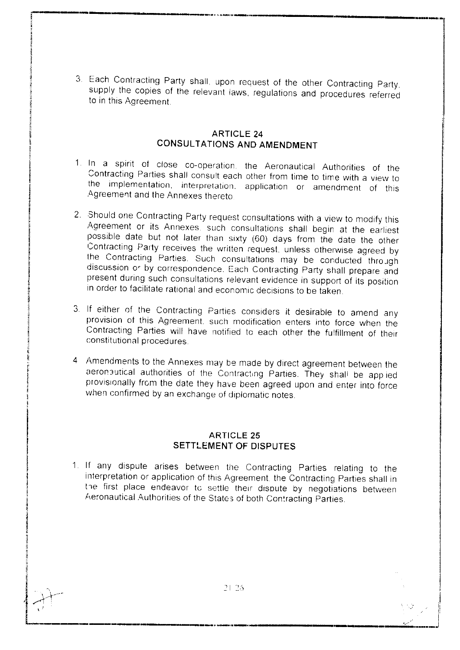3. Each Contracting Party shall, upon request of the other Contracting Party. supply the copies of the relevant laws, regulations and procedures referred to in this Agreement.

# ARTICLE 24 CONSULTATIONS AND AMENDMENT

- 1. In a spirit of close co-operation, the Aeronautical Authorities of the Contracting Parties shall consult each other from time to time with a view to the implementation, interpretation, application or amendment of this Agreement and the Annexes thereto.
- 2. Should one Contracting Party request consultations with a view to modify this Agreement or its Annexes, such consultations shall begin at the earliest possible date but not later than sixty (60) days from the date the other Contracting Party receives the written request, unless otherwise agreed by the Contracting Parties. Such consultations may be conducted through discussion or by correspondence. Each Contracting Party shall prepare and present during such consultations relevant evidence in support of its position in order to facilitate rational and economic decisions to be taken.
- 3. If either of the Contracting Parties considers it desirable to amend any provision of this Agreement. such modification enters into force when the Contracting Parties will have notified to each other the fulfillment of their constitutional procedures.
- 4 Amendments to the Annexes may be made by direct agreement between the aeron authorities of the Contracting Parties. They shall be app ied provisionally from the date they have been agreed upon and enter into force when confirmed by an exchange of diplomatic notes.

# ARTICLE 25 SETTLEMENT OF DISPUTES

1 lt any dispute arises between the contracting parties relating to the interpretation or application of this Agreement, the Contracting Parties shall in the first place endeavor to settle their dispute by negotiations between Aeronautical .Authorities of the States of both Contracting Parties.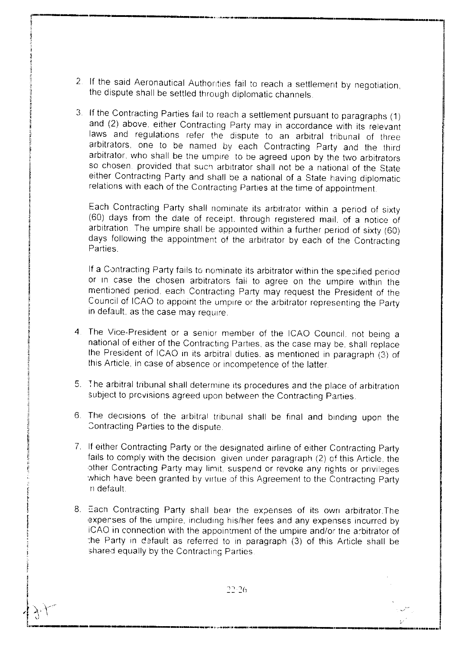- 2. If the said Aeronautical Authorities fail to reach a settlement by negotiation, the dispute shall be settled through diplomatic channels.
- 3. If the Contracting Parties fail to reach a settlement pursuant to paragraphs (1) and (2) above, either Contracting Party may in accordance with its relevant laws and regulations refer the dispute to an arbitral tribunal of three arbitrators, one to be named by each Contracting Party and the third arbitrator, who shall be the umpire to be agreed upon by the two arbitrators so chosen, provided that such arbitrator shall not be a national of the State either Contracting Party and shall be a national of a State having diplomatic relations with each of the Contracting parties at the time of appointment.

Each Contracting Party shall nominate its arbitrator within a period of sixty (60) days from the date of receipt. through registered mail. of a notice of arbitration. The umpire shall be appointed within a further period of sixty  $(60)$ days following the appointment of the arbitrator by each of the Contractinq Parties.

If a Contracting Party fails to nominate its arbitrator within the specified period or in case the chosen arbitrators fail to agree on the umpire within the mentioned period, each Contracting Party may request the President of the Council of ICAO to appoint the umpire or the arbitrator representing the Party in default, as the case may require.

- 4. The Vice-President or a senior member of the ICAO Council, not being a national of either of the Contracting Parties, as the case may be, shall replace the President of ICAO in its arbitral duties, as mentioned in paragraph (3) of this Article, in case of absence or incompetence of the latter.
- 5. The arbitral tribunal shall determine its procedures and the place of arbitration subject to provisions agreed upon between the Contracting Parties.
- 6. The decisions of the arbitral tribunal shall be final and binding upon the Contracting Parties to the dispute.
- 7. If either Contracting Party or the designated airline of either Contracting Party. fails to comply with the decision given under paragraph (2) of this Article, the other Contracting Party may limit, suspend or revoke any rights or privileges which have been granted by virtue of this Agreement to the Contracting Party n default.
- 8. Each Contracting Party shall bear the expenses of its owri arbitrator.The experses of the umpire, including his/her fees and any expenses incurred by iCAO in connection with the appointment of the umpire and/or the arbitrator of the Party in default as referred to in paragraph (3) of this Article shall be shared equally by the Contracting Parties.

 $22.26$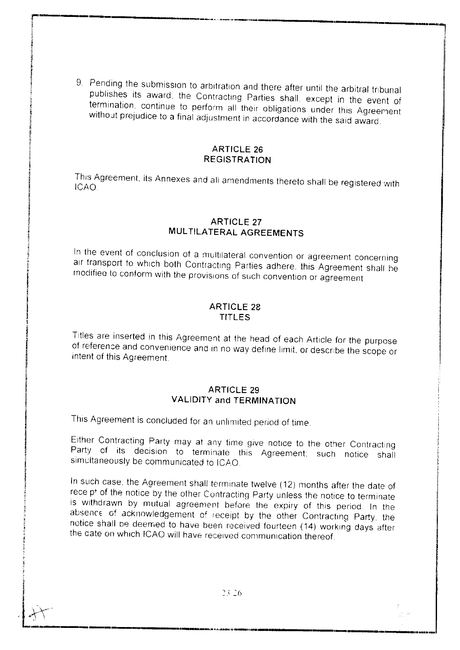9. Pending the submission to arbitration and there after until the arbitral tribunal publishes its award, the Contracting Parties shall, except in the event of termination, continue to perform all their obligations under this Agreement without prejudice to a final adjustment in accordance with the said award.

#### **ARTICLE 26 REGISTRATION**

This Agreement, its Annexes and all amendments thereto shall be registered with ICAO.

#### **ARTICLE 27** MULTILATERAL AGREEMENTS

In the event of conclusion of a multilateral convention or agreement concerning air transport to which both Contracting Parties adhere, this Agreement shall be modified to conform with the provisions of such convention or agreement

#### **ARTICLE 28 TITLES**

Titles are inserted in this Agreement at the head of each Article for the purpose of reference and convenience and in no way define limit, or describe the scope or intent of this Agreement.

# **ARTICLE 29 VALIDITY and TERMINATION**

This Agreement is concluded for an unlimited period of time.

Either Contracting Party may at any time give notice to the other Contracting Party of its decision to terminate this Agreement; such notice shall simultaneously be communicated to ICAO.

In such case, the Agreement shall terminate twelve (12) months after the date of rece pt of the notice by the other Contracting Party unless the notice to terminate is withdrawn by mutual agreement before the expiry of this period. In the absence of acknowledgement of receipt by the other Contracting Party, the notice shall be deemed to have been received fourteen (14) working days after the date on which ICAO will have received communication thereof.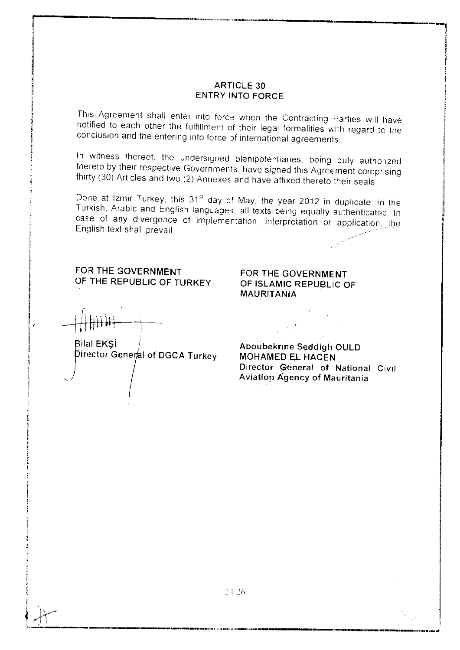### **ARTICLE 30 ENTRY INTO FORCE**

This Agreement shall enter into force when the Contracting Parties will have notified to each other the fulfillment of their legal formalities with regard to the conclusion and the entering into force of international agreements.

In witness thereof, the undersigned plenipotentiaries, being duly authorized thereto by their respective Governments, have signed this Agreement comprising thirty (30) Articles and two (2) Annexes and have affixed thereto their seals.

Done at İzmir Turkey, this 31<sup>st</sup> day of May, the year 2012 in duplicate, in the Turkish, Arabic and English languages, all texts being equally authenticated. In case of any divergence of implementation, interpretation or application, the English text shall prevail.

FOR THE GOVERNMENT OF THE REPUBLIC OF TURKEY

**Bilal EKSİ** 

Director General of DGCA Turkey

# FOR THE GOVERNMENT OF ISLAMIC REPUBLIC OF **MAURITANIA**

 $\mathcal{L}^{\text{max}}_{\text{max}}$ 

Aboubekrine Seddigh OULD **MOHAMED EL HACEN** Director Géneral of National Civil Aviation Agency of Mauritania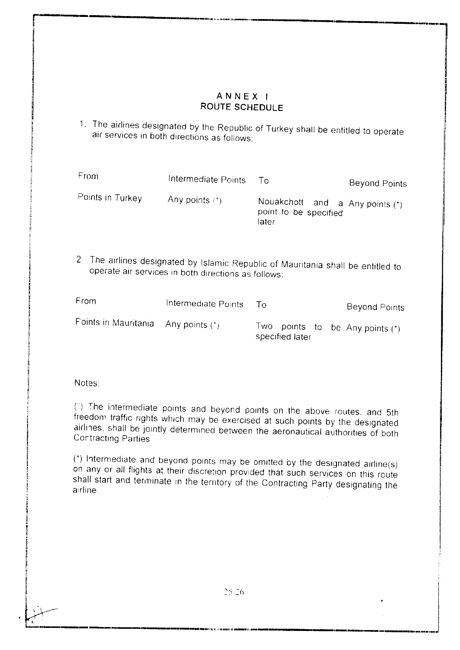# ANNEX<sub>I</sub> ROUTE SCHEDULE

1. The airlines designated by the Republic of Turkey shall be entitled to operate air services in both directions as follows:

| From             | Intermediate Points | $\sqrt{2}$                                                        | Beyond Points |
|------------------|---------------------|-------------------------------------------------------------------|---------------|
| Points in Turkey | Any points $(*)$    | Nouakchott and a Any points (*)<br>point to be specified<br>later |               |

2 The airlines designated by Islamic Republic of Mauritania shall be entitled to operate air services in both directions as follows:

| From                                  | Intermediate Points | ിറ                                                 | Beyond Points |
|---------------------------------------|---------------------|----------------------------------------------------|---------------|
| Foints in Mauritania Any points $(')$ |                     | Two points to be Any points (*)<br>specified later |               |

Notes:

(1) The intermediate points and beyond points on the above routes, and 5th freedom traffic rights which may be exercised at such points by the designated airlines, shall be jointly determined between the aeronautical authorities of both **Contracting Parties** 

(\*) Intermediate and beyond points may be omitted by the designated airline(s) on any or all flights at their discretion provided that such services on this route shall start and terminate in the territory of the Contracting Party designating the airline.